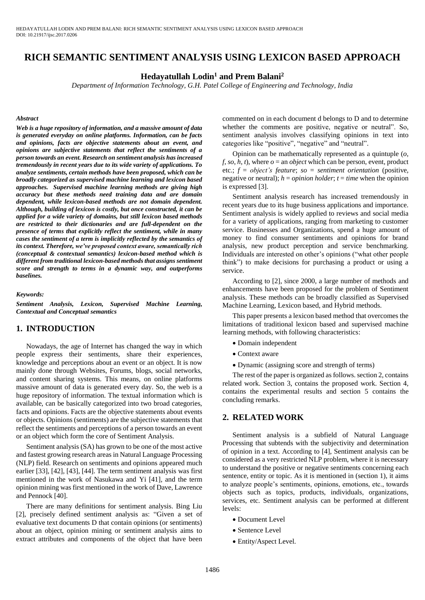# **RICH SEMANTIC SENTIMENT ANALYSIS USING LEXICON BASED APPROACH**

### **Hedayatullah Lodin<sup>1</sup> and Prem Balani<sup>2</sup>**

*Department of Information Technology, G.H. Patel College of Engineering and Technology, India*

#### *Abstract*

*Web is a huge repository of information, and a massive amount of data is generated everyday on online platforms. Information, can be facts and opinions, facts are objective statements about an event, and opinions are subjective statements that reflect the sentiments of a person towards an event. Research on sentiment analysis has increased tremendously in recent years due to its wide variety of applications. To analyze sentiments, certain methods have been proposed, which can be broadly categorized as supervised machine learning and lexicon based approaches. Supervised machine learning methods are giving high accuracy but these methods need training data and are domain dependent, while lexicon-based methods are not domain dependent. Although, building of lexicon is costly, but once constructed, it can be applied for a wide variety of domains, but still lexicon based methods are restricted to their dictionaries and are full-dependent on the presence of terms that explicitly reflect the sentiment, while in many cases the sentiment of a term is implicitly reflected by the semantics of its context. Therefore, we've proposed context aware, semantically rich (conceptual & contextual semantics) lexicon-based method which is different from traditional lexicon-based methods that assigns sentiment score and strength to terms in a dynamic way, and outperforms baselines.*

#### *Keywords:*

*Sentiment Analysis, Lexicon, Supervised Machine Learning, Contextual and Conceptual semantics*

### **1. INTRODUCTION**

Nowadays, the age of Internet has changed the way in which people express their sentiments, share their experiences, knowledge and perceptions about an event or an object. It is now mainly done through Websites, Forums, blogs, social networks, and content sharing systems. This means, on online platforms massive amount of data is generated every day. So, the web is a huge repository of information. The textual information which is available, can be basically categorized into two broad categories, facts and opinions. Facts are the objective statements about events or objects. Opinions (sentiments) are the subjective statements that reflect the sentiments and perceptions of a person towards an event or an object which form the core of Sentiment Analysis.

Sentiment analysis (SA) has grown to be one of the most active and fastest growing research areas in Natural Language Processing (NLP) field. Research on sentiments and opinions appeared much earlier [33], [42], [43], [44]. The term sentiment analysis was first mentioned in the work of Nasukawa and Yi [41], and the term opinion mining was first mentioned in the work of Dave, Lawrence and Pennock [40].

There are many definitions for sentiment analysis. Bing Liu [2], precisely defined sentiment analysis as: "Given a set of evaluative text documents D that contain opinions (or sentiments) about an object, opinion mining or sentiment analysis aims to extract attributes and components of the object that have been commented on in each document d belongs to D and to determine whether the comments are positive, negative or neutral". So, sentiment analysis involves classifying opinions in text into categories like "positive", "negative" and "neutral".

Opinion can be mathematically represented as a quintuple (*o*, *f*, *so*, *h*, *t*), where  $\rho =$  an *object* which can be person, event, product etc.; *f* = *object's feature*; *so* = *sentiment orientation* (positive, negative or neutral);  $h =$  *opinion holder*;  $t =$  *time* when the opinion is expressed [3].

Sentiment analysis research has increased tremendously in recent years due to its huge business applications and importance. Sentiment analysis is widely applied to reviews and social media for a variety of applications, ranging from marketing to customer service. Businesses and Organizations, spend a huge amount of money to find consumer sentiments and opinions for brand analysis, new product perception and service benchmarking. Individuals are interested on other's opinions ("what other people think") to make decisions for purchasing a product or using a service.

According to [2], since 2000, a large number of methods and enhancements have been proposed for the problem of Sentiment analysis. These methods can be broadly classified as Supervised Machine Learning, Lexicon based, and Hybrid methods.

This paper presents a lexicon based method that overcomes the limitations of traditional lexicon based and supervised machine learning methods, with following characteristics:

- Domain independent
- Context aware
- Dynamic (assigning score and strength of terms)

The rest of the paper is organized as follows. section 2, contains related work. Section 3, contains the proposed work. Section 4, contains the experimental results and section 5 contains the concluding remarks.

### **2. RELATED WORK**

Sentiment analysis is a subfield of Natural Language Processing that subtends with the subjectivity and determination of opinion in a text. According to [4], Sentiment analysis can be considered as a very restricted NLP problem, where it is necessary to understand the positive or negative sentiments concerning each sentence, entity or topic. As it is mentioned in (section 1), it aims to analyze people's sentiments, opinions, emotions, etc., towards objects such as topics, products, individuals, organizations, services, etc. Sentiment analysis can be performed at different levels:

- Document Level
- Sentence Level
- Entity/Aspect Level.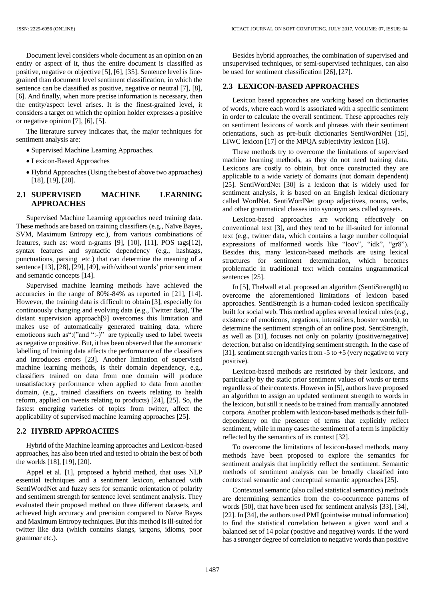Document level considers whole document as an opinion on an entity or aspect of it, thus the entire document is classified as positive, negative or objective [5], [6], [35]. Sentence level is finegrained than document level sentiment classification, in which the sentence can be classified as positive, negative or neutral [7], [8], [6]. And finally, when more precise information is necessary, then the entity/aspect level arises. It is the finest-grained level, it considers a target on which the opinion holder expresses a positive or negative opinion [7], [6], [5].

The literature survey indicates that, the major techniques for sentiment analysis are:

- Supervised Machine Learning Approaches.
- Lexicon-Based Approaches
- Hybrid Approaches (Using the best of above two approaches) [18], [19], [20].

## **2.1 SUPERVISED MACHINE LEARNING APPROACHES**

Supervised Machine Learning approaches need training data. These methods are based on training classifiers (e.g., Naïve Bayes, SVM, Maximum Entropy etc.), from various combinations of features, such as: word n-grams [9], [10], [11], POS tags[12], syntax features and syntactic dependency (e.g., hashtags, punctuations, parsing etc.) that can determine the meaning of a sentence [13], [28], [29], [49], with/without words' prior sentiment and semantic concepts [14].

Supervised machine learning methods have achieved the accuracies in the range of 80%-84% as reported in [21], [14]. However, the training data is difficult to obtain [3], especially for continuously changing and evolving data (e.g., Twitter data), The distant supervision approach[9] overcomes this limitation and makes use of automatically generated training data, where emoticons such as":("and ":-)" are typically used to label tweets as negative or positive. But, it has been observed that the automatic labelling of training data affects the performance of the classifiers and introduces errors [23]. Another limitation of supervised machine learning methods, is their domain dependency, e.g., classifiers trained on data from one domain will produce unsatisfactory performance when applied to data from another domain, (e.g., trained classifiers on tweets relating to health reform, applied on tweets relating to products) [24], [25]. So, the fastest emerging varieties of topics from twitter, affect the applicability of supervised machine learning approaches [25].

#### **2.2 HYBRID APPROACHES**

Hybrid of the Machine learning approaches and Lexicon-based approaches, has also been tried and tested to obtain the best of both the worlds [18], [19], [20].

Appel et al. [1], proposed a hybrid method, that uses NLP essential techniques and a sentiment lexicon, enhanced with SentiWordNet and fuzzy sets for semantic orientation of polarity and sentiment strength for sentence level sentiment analysis. They evaluated their proposed method on three different datasets, and achieved high accuracy and precision compared to Naïve Bayes and Maximum Entropy techniques. But this method is ill-suited for twitter like data (which contains slangs, jargons, idioms, poor grammar etc.).

Besides hybrid approaches, the combination of supervised and unsupervised techniques, or semi-supervised techniques, can also be used for sentiment classification [26], [27].

#### **2.3 LEXICON-BASED APPROACHES**

Lexicon based approaches are working based on dictionaries of words, where each word is associated with a specific sentiment in order to calculate the overall sentiment. These approaches rely on sentiment lexicons of words and phrases with their sentiment orientations, such as pre-built dictionaries SentiWordNet [15], LIWC lexicon [17] or the MPQA subjectivity lexicon [16].

These methods try to overcome the limitations of supervised machine learning methods, as they do not need training data. Lexicons are costly to obtain, but once constructed they are applicable to a wide variety of domains (not domain dependent) [25]. SentiWordNet [30] is a lexicon that is widely used for sentiment analysis, it is based on an English lexical dictionary called WordNet. SentiWordNet group adjectives, nouns, verbs, and other grammatical classes into synonym sets called synsets.

Lexicon-based approaches are working effectively on conventional text [3], and they tend to be ill-suited for informal text (e.g., twitter data, which contains a large number colloquial expressions of malformed words like "loov", "idk", "gr8"). Besides this, many lexicon-based methods are using lexical structures for sentiment determination, which becomes problematic in traditional text which contains ungrammatical sentences [25].

In [5], Thelwall et al. proposed an algorithm (SentiStrength) to overcome the aforementioned limitations of lexicon based approaches. SentiStrength is a human-coded lexicon specifically built for social web. This method applies several lexical rules (e.g., existence of emoticons, negations, intensifiers, booster words), to determine the sentiment strength of an online post. SentiStrength, as well as [31], focuses not only on polarity (positive/negative) detection, but also on identifying sentiment strength. In the case of [31], sentiment strength varies from  $-5$  to  $+5$  (very negative to very positive).

Lexicon-based methods are restricted by their lexicons, and particularly by the static prior sentiment values of words or terms regardless of their contexts. However in [5], authors have proposed an algorithm to assign an updated sentiment strength to words in the lexicon, but still it needs to be trained from manually annotated corpora. Another problem with lexicon-based methods is their fulldependency on the presence of terms that explicitly reflect sentiment, while in many cases the sentiment of a term is implicitly reflected by the semantics of its context [32].

To overcome the limitations of lexicon-based methods, many methods have been proposed to explore the semantics for sentiment analysis that implicitly reflect the sentiment. Semantic methods of sentiment analysis can be broadly classified into contextual semantic and conceptual semantic approaches [25].

Contextual semantic (also called statistical semantics) methods are determining semantics from the co-occurrence patterns of words [50], that have been used for sentiment analysis [33], [34], [22]. In [34], the authors used PMI (pointwise mutual information) to find the statistical correlation between a given word and a balanced set of 14 polar (positive and negative) words. If the word has a stronger degree of correlation to negative words than positive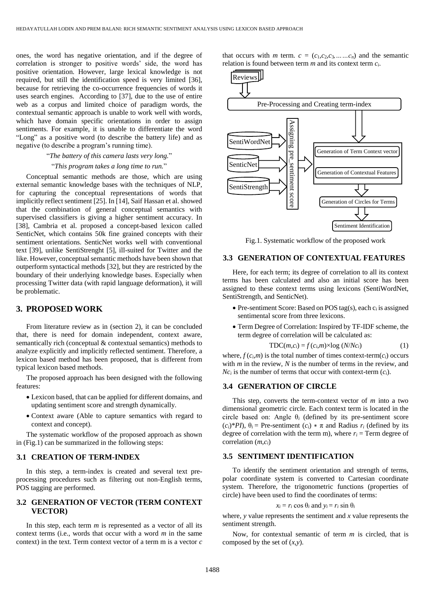ones, the word has negative orientation, and if the degree of correlation is stronger to positive words' side, the word has positive orientation. However, large lexical knowledge is not required, but still the identification speed is very limited [36], because for retrieving the co-occurrence frequencies of words it uses search engines. According to [37], due to the use of entire web as a corpus and limited choice of paradigm words, the contextual semantic approach is unable to work well with words, which have domain specific orientations in order to assign sentiments. For example, it is unable to differentiate the word "Long" as a positive word (to describe the battery life) and as negative (to describe a program's running time).

#### "*The battery of this camera lasts very long.*"

#### "*This program takes a long time to run.*"

Conceptual semantic methods are those, which are using external semantic knowledge bases with the techniques of NLP, for capturing the conceptual representations of words that implicitly reflect sentiment [25]. In [14], Saif Hassan et al. showed that the combination of general conceptual semantics with supervised classifiers is giving a higher sentiment accuracy. In [38], Cambria et al. proposed a concept-based lexicon called SenticNet, which contains 50k fine grained concepts with their sentiment orientations. SenticNet works well with conventional text [39], unlike SentiStrenght [5], ill-suited for Twitter and the like. However, conceptual semantic methods have been shown that outperform syntactical methods [32], but they are restricted by the boundary of their underlying knowledge bases. Especially when processing Twitter data (with rapid language deformation), it will be problematic.

# **3. PROPOSED WORK**

From literature review as in (section 2), it can be concluded that, there is need for domain independent, context aware, semantically rich (conceptual & contextual semantics) methods to analyze explicitly and implicitly reflected sentiment. Therefore, a lexicon based method has been proposed, that is different from typical lexicon based methods.

The proposed approach has been designed with the following features:

- Lexicon based, that can be applied for different domains, and updating sentiment score and strength dynamically.
- Context aware (Able to capture semantics with regard to context and concept).

The systematic workflow of the proposed approach as shown in (Fig.1) can be summarized in the following steps:

### **3.1 CREATION OF TERM-INDEX**

In this step, a term-index is created and several text preprocessing procedures such as filtering out non-English terms, POS tagging are performed.

### **3.2 GENERATION OF VECTOR (TERM CONTEXT VECTOR)**

In this step, each term *m* is represented as a vector of all its context terms (i.e., words that occur with a word *m* in the same context) in the text. Term context vector of a term m is a vector *c* that occurs with *m* term.  $c = (c_1, c_2, c_3, \ldots, c_n)$  and the semantic relation is found between term *m* and its context term *ci*.



Fig.1. Systematic workflow of the proposed work

#### **3.3 GENERATION OF CONTEXTUAL FEATURES**

Here, for each term; its degree of correlation to all its context terms has been calculated and also an initial score has been assigned to these context terms using lexicons (SentiWordNet, SentiStrength, and SenticNet).

- $\bullet$  Pre-sentiment Score: Based on POS tag(s), each  $c_i$  is assigned sentimental score from three lexicons.
- Term Degree of Correlation: Inspired by TF-IDF scheme, the term degree of correlation will be calculated as:

$$
TDC(m,c_i) = f(c_i,m) \times \log (N/Nc_i)
$$
 (1)

where,  $f(c_i, m)$  is the total number of times context-term( $c_i$ ) occurs with *m* in the review, *N* is the number of terms in the review, and *Nc<sup>i</sup>* is the number of terms that occur with context-term (*ci*).

### **3.4 GENERATION OF CIRCLE**

This step, converts the term-context vector of *m* into a two dimensional geometric circle. Each context term is located in the circle based on: Angle θ*<sup>i</sup>* (defined by its pre-sentiment score  $(c_i)^*$ *PI*),  $\theta_i$  = Pre-sentiment  $(c_i) * \pi$  and Radius  $r_i$  (defined by its degree of correlation with the term m), where  $r_i$  = Term degree of correlation (*m*,*ci*)

### **3.5 SENTIMENT IDENTIFICATION**

To identify the sentiment orientation and strength of terms, polar coordinate system is converted to Cartesian coordinate system. Therefore, the trigonometric functions (properties of circle) have been used to find the coordinates of terms:

$$
x_i = r_i \cos \theta_i
$$
 and  $y_i = r_i \sin \theta_i$ 

where, *y* value represents the sentiment and *x* value represents the sentiment strength.

Now, for contextual semantic of term *m* is circled, that is composed by the set of (*x*,*y*).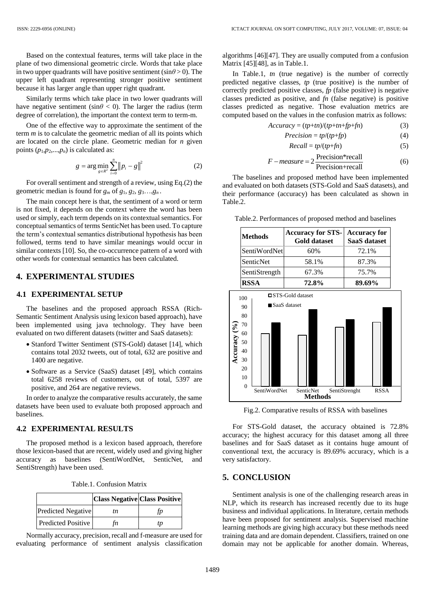Based on the contextual features, terms will take place in the plane of two dimensional geometric circle. Words that take place in two upper quadrants will have positive sentiment  $(\sin \theta > 0)$ . The upper left quadrant representing stronger positive sentiment because it has larger angle than upper right quadrant.

Similarly terms which take place in two lower quadrants will have negative sentiment (sin $\theta$  < 0). The larger the radius (term degree of correlation), the important the context term to term-m.

One of the effective way to approximate the sentiment of the term *m* is to calculate the geometric median of all its points which are located on the circle plane. Geometric median for *n* given points  $(p_1, p_2, \ldots, p_n)$  is calculated as:

$$
g = \arg\min_{g \in R^2} \sum_{i=0}^n \|p_i - g\|^2
$$
 (2)

For overall sentiment and strength of a review, using Eq.(2) the geometric median is found for  $g_m$  of  $g_1, g_2, g_3, \ldots, g_n$ .

The main concept here is that, the sentiment of a word or term is not fixed, it depends on the context where the word has been used or simply, each term depends on its contextual semantics. For conceptual semantics of terms SenticNet has been used. To capture the term's contextual semantics distributional hypothesis has been followed, terms tend to have similar meanings would occur in similar contexts [10]. So, the co-occurrence pattern of a word with other words for contextual semantics has been calculated.

# **4. EXPERIMENTAL STUDIES**

### **4.1 EXPERIMENTAL SETUP**

The baselines and the proposed approach RSSA (Rich-Semantic Sentiment Analysis using lexicon based approach), have been implemented using java technology. They have been evaluated on two different datasets (twitter and SaaS datasets):

- Stanford Twitter Sentiment (STS-Gold) dataset [14], which contains total 2032 tweets, out of total, 632 are positive and 1400 are negative.
- Software as a Service (SaaS) dataset [49], which contains total 6258 reviews of customers, out of total, 5397 are positive, and 264 are negative reviews.

In order to analyze the comparative results accurately, the same datasets have been used to evaluate both proposed approach and baselines.

### **4.2 EXPERIMENTAL RESULTS**

The proposed method is a lexicon based approach, therefore those lexicon-based that are recent, widely used and giving higher accuracy as baselines (SentiWordNet, SenticNet, and SentiStrength) have been used.

|  | Table.1. Confusion Matrix |  |
|--|---------------------------|--|
|--|---------------------------|--|

|                           | <b>Class Negative Class Positive</b> |    |
|---------------------------|--------------------------------------|----|
| Predicted Negative        | tn.                                  | tn |
| <b>Predicted Positive</b> | fn                                   | tp |

Normally accuracy, precision, recall and f-measure are used for evaluating performance of sentiment analysis classification

algorithms [46][47]. They are usually computed from a confusion Matrix [45][48], as in Table.1.

In Table.1, *tn* (true negative) is the number of correctly predicted negative classes, *tp* (true positive) is the number of correctly predicted positive classes, *fp* (false positive) is negative classes predicted as positive, and *fn* (false negative) is positive classes predicted as negative. Those evaluation metrics are computed based on the values in the confusion matrix as follows:

$$
Accuracy = (tp+tn)/(tp+tn+fp+fn)
$$
 (3)

$$
Precision = tp/(tp+fp)
$$
 (4)

$$
Recall = tp/(tp + fn)
$$
 (5)

$$
F-measure = 2 \frac{\text{Precision*recall}}{\text{Precision+recall}} \tag{6}
$$

The baselines and proposed method have been implemented and evaluated on both datasets (STS-Gold and SaaS datasets), and their performance (accuracy) has been calculated as shown in Table.2.

Table.2. Performances of proposed method and baselines

| <b>Methods</b> | <b>Accuracy for STS-</b><br><b>Gold dataset</b> | <b>Accuracy for</b><br>SaaS dataset |
|----------------|-------------------------------------------------|-------------------------------------|
| SentiWordNet   | 60%                                             | 72.1%                               |
| SenticNet      | 58.1%                                           | 87.3%                               |
| SentiStrength  | 67.3%                                           | 75.7%                               |
| <b>RSSA</b>    | 72.8%                                           | 89.69%                              |



Fig.2. Comparative results of RSSA with baselines

For STS-Gold dataset, the accuracy obtained is 72.8% accuracy; the highest accuracy for this dataset among all three baselines and for SaaS dataset as it contains huge amount of conventional text, the accuracy is 89.69% accuracy, which is a very satisfactory.

# **5. CONCLUSION**

Sentiment analysis is one of the challenging research areas in NLP, which its research has increased recently due to its huge business and individual applications. In literature, certain methods have been proposed for sentiment analysis. Supervised machine learning methods are giving high accuracy but these methods need training data and are domain dependent. Classifiers, trained on one domain may not be applicable for another domain. Whereas,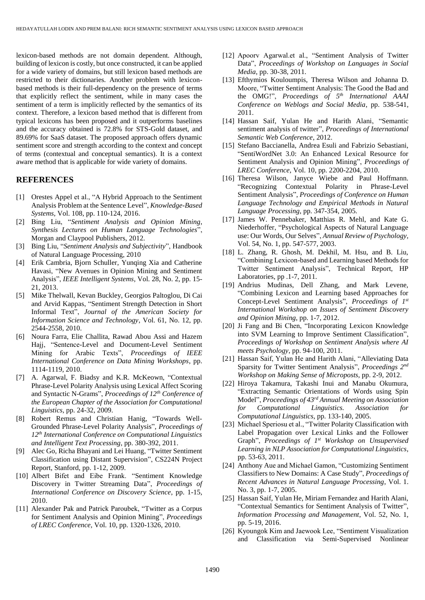lexicon-based methods are not domain dependent. Although, building of lexicon is costly, but once constructed, it can be applied for a wide variety of domains, but still lexicon based methods are restricted to their dictionaries. Another problem with lexiconbased methods is their full-dependency on the presence of terms that explicitly reflect the sentiment, while in many cases the sentiment of a term is implicitly reflected by the semantics of its context. Therefore, a lexicon based method that is different from typical lexicons has been proposed and it outperforms baselines and the accuracy obtained is 72.8% for STS-Gold dataset, and 89.69% for SaaS dataset. The proposed approach offers dynamic sentiment score and strength according to the context and concept of terms (contextual and conceptual semantics). It is a context aware method that is applicable for wide variety of domains.

### **REFERENCES**

- [1] Orestes Appel et al., "A Hybrid Approach to the Sentiment Analysis Problem at the Sentence Level", *Knowledge-Based Systems*, Vol. 108, pp. 110-124, 2016.
- [2] Bing Liu, "*Sentiment Analysis and Opinion Mining*, *Synthesis Lectures on Human Language Technologies*", Morgan and Claypool Publishers, 2012.
- [3] Bing Liu, "*Sentiment Analysis and Subjectivity*", Handbook of Natural Language Processing, 2010
- [4] Erik Cambria, Bjorn Schuller, Yunqing Xia and Catherine Havasi, "New Avenues in Opinion Mining and Sentiment Analysis", *IEEE Intelligent Systems*, Vol. 28, No. 2, pp. 15- 21, 2013.
- [5] Mike Thelwall, Kevan Buckley, Georgios Paltoglou, Di Cai and Arvid Kappas, "Sentiment Strength Detection in Short Informal Text", *Journal of the American Society for Information Science and Technology*, Vol. 61, No. 12, pp. 2544-2558, 2010.
- [6] Noura Farra, Elie Challita, Rawad Abou Assi and Hazem Hajj, "Sentence-Level and Document-Level Sentiment Mining for Arabic Texts", *Proceedings of IEEE International Conference on Data Mining Workshops*, pp. 1114-1119, 2010.
- [7] A. Agarwal, F. Biadsy and K.R. McKeown, "Contextual Phrase-Level Polarity Analysis using Lexical Affect Scoring and Syntactic N-Grams", *Proceedings of 12th Conference of the European Chapter of the Association for Computational Linguistics*, pp. 24-32, 2009.
- [8] Robert Remus and Christian Hanig, "Towards Well-Grounded Phrase-Level Polarity Analysis", *Proceedings of 12th International Conference on Computational Linguistics and Intelligent Text Processing*, pp. 380-392, 2011.
- [9] Alec Go, Richa Bhayani and Lei Huang, "Twitter Sentiment Classification using Distant Supervision", CS224N Project Report, Stanford, pp. 1-12, 2009.
- [10] Albert Bifet and Eibe Frank. "Sentiment Knowledge Discovery in Twitter Streaming Data", *Proceedings of International Conference on Discovery Science*, pp. 1-15, 2010.
- [11] Alexander Pak and Patrick Paroubek, "Twitter as a Corpus for Sentiment Analysis and Opinion Mining", *Proceedings of LREC Conference*, Vol. 10, pp. 1320-1326, 2010.
- [12] Apoorv Agarwal.et al., "Sentiment Analysis of Twitter Data", *Proceedings of Workshop on Languages in Social Media*, pp. 30-38, 2011.
- [13] Efthymios Kouloumpis, Theresa Wilson and Johanna D. Moore, "Twitter Sentiment Analysis: The Good the Bad and the OMG!", *Proceedings of 5 th International AAAI Conference on Weblogs and Social Media*, pp. 538-541, 2011.
- [14] Hassan Saif, Yulan He and Harith Alani, "Semantic sentiment analysis of twitter", *Proceedings of International Semantic Web Conference*, 2012.
- [15] Stefano Baccianella, Andrea Esuli and Fabrizio Sebastiani, "SentiWordNet 3.0: An Enhanced Lexical Resource for Sentiment Analysis and Opinion Mining", *Proceedings of LREC Conference*, Vol. 10, pp. 2200-2204, 2010.
- [16] Theresa Wilson, Janyce Wiebe and Paul Hoffmann. "Recognizing Contextual Polarity in Phrase-Level Sentiment Analysis", *Proceedings of Conference on Human Language Technology and Empirical Methods in Natural Language Processing*, pp. 347-354, 2005.
- [17] James W. Pennebaker, Matthias R. Mehl, and Kate G. Niederhoffer, "Psychological Aspects of Natural Language use: Our Words, Our Selves", *Annual Review of Psychology*, Vol. 54, No. 1, pp. 547-577, 2003.
- [18] L. Zhang, R. Ghosh, M. Dekhil, M. Hsu, and B. Liu, "Combining Lexicon-based and Learning based Methods for Twitter Sentiment Analysis", Technical Report, HP Laboratories, pp .1-7, 2011.
- [19] Andrius Mudinas, Dell Zhang, and Mark Levene, "Combining Lexicon and Learning based Approaches for Concept-Level Sentiment Analysis", *Proceedings of 1 st International Workshop on Issues of Sentiment Discovery and Opinion Mining*, pp. 1-7, 2012.
- [20] Ji Fang and Bi Chen, "Incorporating Lexicon Knowledge into SVM Learning to Improve Sentiment Classification", *Proceedings of Workshop on Sentiment Analysis where AI meets Psychology*, pp. 94-100, 2011.
- [21] Hassan Saif, Yulan He and Harith Alani, "Alleviating Data Sparsity for Twitter Sentiment Analysis", *Proceedings 2 nd Workshop on Making Sense of Microposts*, pp. 2-9, 2012.
- [22] Hiroya Takamura, Takashi Inui and Manabu Okumura, "Extracting Semantic Orientations of Words using Spin Model", *Proceedings of 43rd Annual Meeting on Association for Computational Linguistics. Association for Computational Linguistics*, pp. 133-140, 2005.
- [23] Michael Speriosu et al., "Twitter Polarity Classification with Label Propagation over Lexical Links and the Follower Graph", Proceedings of 1<sup>st</sup> Workshop on Unsupervised *Learning in NLP Association for Computational Linguistics*, pp. 53-63, 2011.
- [24] Anthony Aue and Michael Gamon, "Customizing Sentiment Classifiers to New Domains: A Case Study", *Proceedings of Recent Advances in Natural Language Processing*, Vol. 1. No. 3, pp. 1-7, 2005.
- [25] Hassan Saif, Yulan He, Miriam Fernandez and Harith Alani, "Contextual Semantics for Sentiment Analysis of Twitter", *Information Processing and Management*, Vol. 52, No. 1, pp. 5-19, 2016.
- [26] Kyoungok Kim and Jaewook Lee, "Sentiment Visualization and Classification via Semi-Supervised Nonlinear